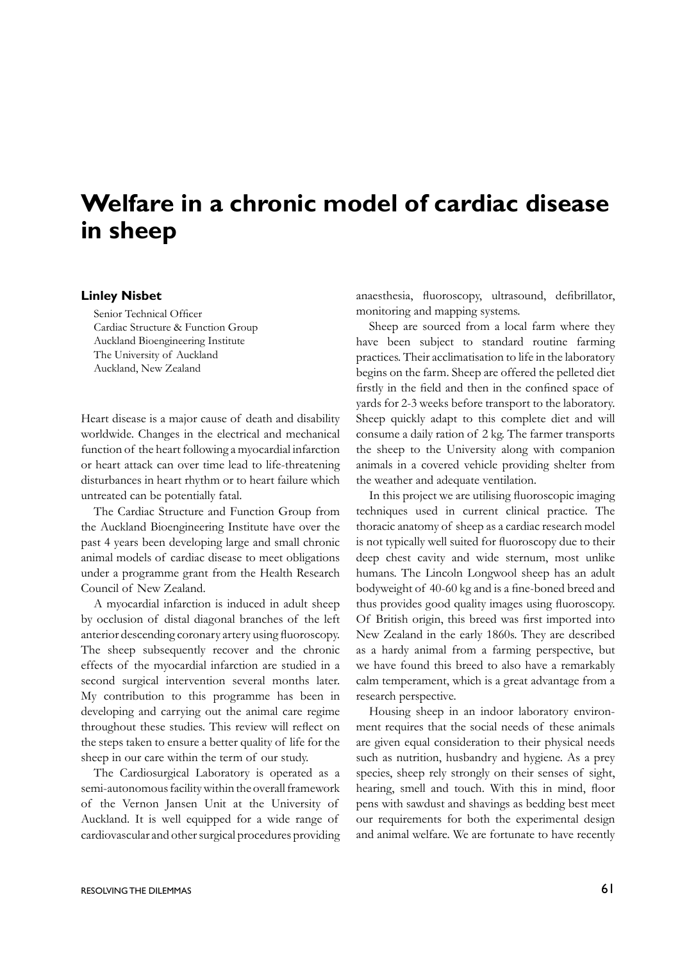## **Welfare in a chronic model of cardiac disease in sheep**

## **Linley Nisbet**

Senior Technical Officer Cardiac Structure & Function Group Auckland Bioengineering Institute The University of Auckland Auckland, New Zealand

Heart disease is a major cause of death and disability worldwide. Changes in the electrical and mechanical function of the heart following a myocardial infarction or heart attack can over time lead to life-threatening disturbances in heart rhythm or to heart failure which untreated can be potentially fatal.

The Cardiac Structure and Function Group from the Auckland Bioengineering Institute have over the past 4 years been developing large and small chronic animal models of cardiac disease to meet obligations under a programme grant from the Health Research Council of New Zealand.

A myocardial infarction is induced in adult sheep by occlusion of distal diagonal branches of the left anterior descending coronary artery using fluoroscopy. The sheep subsequently recover and the chronic effects of the myocardial infarction are studied in a second surgical intervention several months later. My contribution to this programme has been in developing and carrying out the animal care regime throughout these studies. This review will reflect on the steps taken to ensure a better quality of life for the sheep in our care within the term of our study.

The Cardiosurgical Laboratory is operated as a semi-autonomous facility within the overall framework of the Vernon Jansen Unit at the University of Auckland. It is well equipped for a wide range of cardiovascular and other surgical procedures providing anaesthesia, fluoroscopy, ultrasound, defibrillator, monitoring and mapping systems.

Sheep are sourced from a local farm where they have been subject to standard routine farming practices. Their acclimatisation to life in the laboratory begins on the farm. Sheep are offered the pelleted diet firstly in the field and then in the confined space of yards for 2-3 weeks before transport to the laboratory. Sheep quickly adapt to this complete diet and will consume a daily ration of 2 kg. The farmer transports the sheep to the University along with companion animals in a covered vehicle providing shelter from the weather and adequate ventilation.

In this project we are utilising fluoroscopic imaging techniques used in current clinical practice. The thoracic anatomy of sheep as a cardiac research model is not typically well suited for fluoroscopy due to their deep chest cavity and wide sternum, most unlike humans. The Lincoln Longwool sheep has an adult bodyweight of 40-60 kg and is a fine-boned breed and thus provides good quality images using fluoroscopy. Of British origin, this breed was first imported into New Zealand in the early 1860s. They are described as a hardy animal from a farming perspective, but we have found this breed to also have a remarkably calm temperament, which is a great advantage from a research perspective.

Housing sheep in an indoor laboratory environment requires that the social needs of these animals are given equal consideration to their physical needs such as nutrition, husbandry and hygiene. As a prey species, sheep rely strongly on their senses of sight, hearing, smell and touch. With this in mind, floor pens with sawdust and shavings as bedding best meet our requirements for both the experimental design and animal welfare. We are fortunate to have recently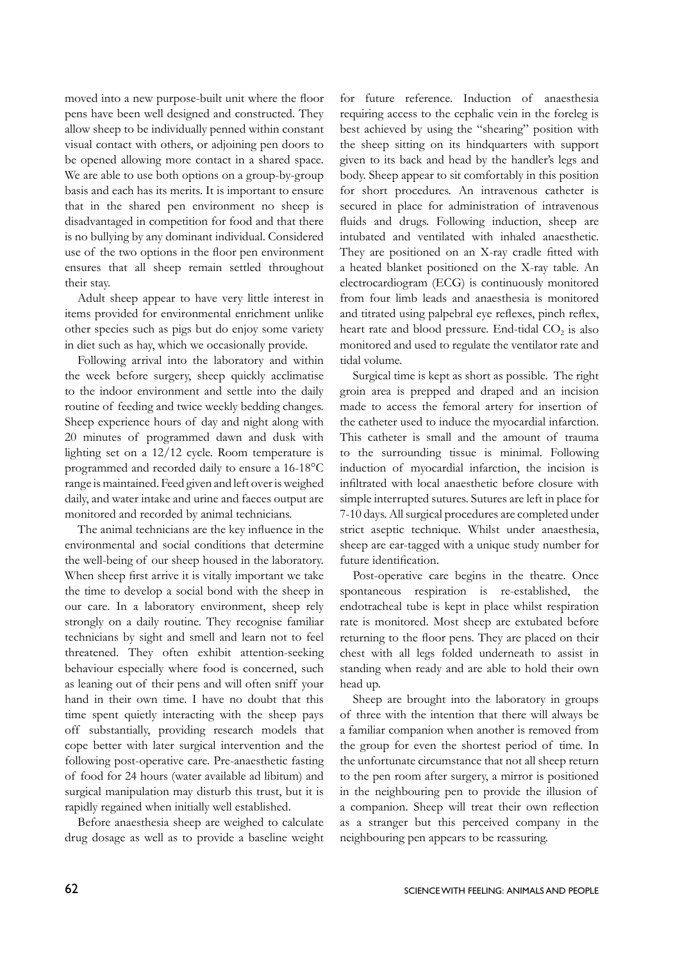moved into a new purpose-built unit where the floor pens have been well designed and constructed. They allow sheep to be individually penned within constant visual contact with others, or adjoining pen doors to be opened allowing more contact in a shared space. We are able to use both options on a group-by-group basis and each has its merits. It is important to ensure that in the shared pen environment no sheep is disadvantaged in competition for food and that there is no bullying by any dominant individual. Considered use of the two options in the floor pen environment ensures that all sheep remain settled throughout their stay.

Adult sheep appear to have very little interest in items provided for environmental enrichment unlike other species such as pigs but do enjoy some variety in diet such as hay, which we occasionally provide.

Following arrival into the laboratory and within the week before surgery, sheep quickly acclimatise to the indoor environment and settle into the daily routine of feeding and twice weekly bedding changes. Sheep experience hours of day and night along with 20 minutes of programmed dawn and dusk with lighting set on a 12/12 cycle. Room temperature is programmed and recorded daily to ensure a 16-18°C range is maintained. Feed given and left over is weighed daily, and water intake and urine and faeces output are monitored and recorded by animal technicians.

The animal technicians are the key influence in the environmental and social conditions that determine the well-being of our sheep housed in the laboratory. When sheep first arrive it is vitally important we take the time to develop a social bond with the sheep in our care. In a laboratory environment, sheep rely strongly on a daily routine. They recognise familiar technicians by sight and smell and learn not to feel threatened. They often exhibit attention-seeking behaviour especially where food is concerned, such as leaning out of their pens and will often sniff your hand in their own time. I have no doubt that this time spent quietly interacting with the sheep pays off substantially, providing research models that cope better with later surgical intervention and the following post-operative care. Pre-anaesthetic fasting of food for 24 hours (water available ad libitum) and surgical manipulation may disturb this trust, but it is rapidly regained when initially well established.

Before anaesthesia sheep are weighed to calculate drug dosage as well as to provide a baseline weight

for future reference. Induction of anaesthesia requiring access to the cephalic vein in the foreleg is best achieved by using the "shearing" position with the sheep sitting on its hindquarters with support given to its back and head by the handler's legs and body. Sheep appear to sit comfortably in this position for short procedures. An intravenous catheter is secured in place for administration of intravenous fluids and drugs. Following induction, sheep are intubated and ventilated with inhaled anaesthetic. They are positioned on an X-ray cradle fitted with a heated blanket positioned on the X-ray table. An electrocardiogram (ECG) is continuously monitored from four limb leads and anaesthesia is monitored and titrated using palpebral eye reflexes, pinch reflex, heart rate and blood pressure. End-tidal  $CO<sub>2</sub>$  is also monitored and used to regulate the ventilator rate and tidal volume.

Surgical time is kept as short as possible. The right groin area is prepped and draped and an incision made to access the femoral artery for insertion of the catheter used to induce the myocardial infarction. This catheter is small and the amount of trauma to the surrounding tissue is minimal. Following induction of myocardial infarction, the incision is infiltrated with local anaesthetic before closure with simple interrupted sutures. Sutures are left in place for 7-10 days. All surgical procedures are completed under strict aseptic technique. Whilst under anaesthesia, sheep are ear-tagged with a unique study number for future identification.

Post-operative care begins in the theatre. Once spontaneous respiration is re-established, the endotracheal tube is kept in place whilst respiration rate is monitored. Most sheep are extubated before returning to the floor pens. They are placed on their chest with all legs folded underneath to assist in standing when ready and are able to hold their own head up.

Sheep are brought into the laboratory in groups of three with the intention that there will always be a familiar companion when another is removed from the group for even the shortest period of time. In the unfortunate circumstance that not all sheep return to the pen room after surgery, a mirror is positioned in the neighbouring pen to provide the illusion of a companion. Sheep will treat their own reflection as a stranger but this perceived company in the neighbouring pen appears to be reassuring.